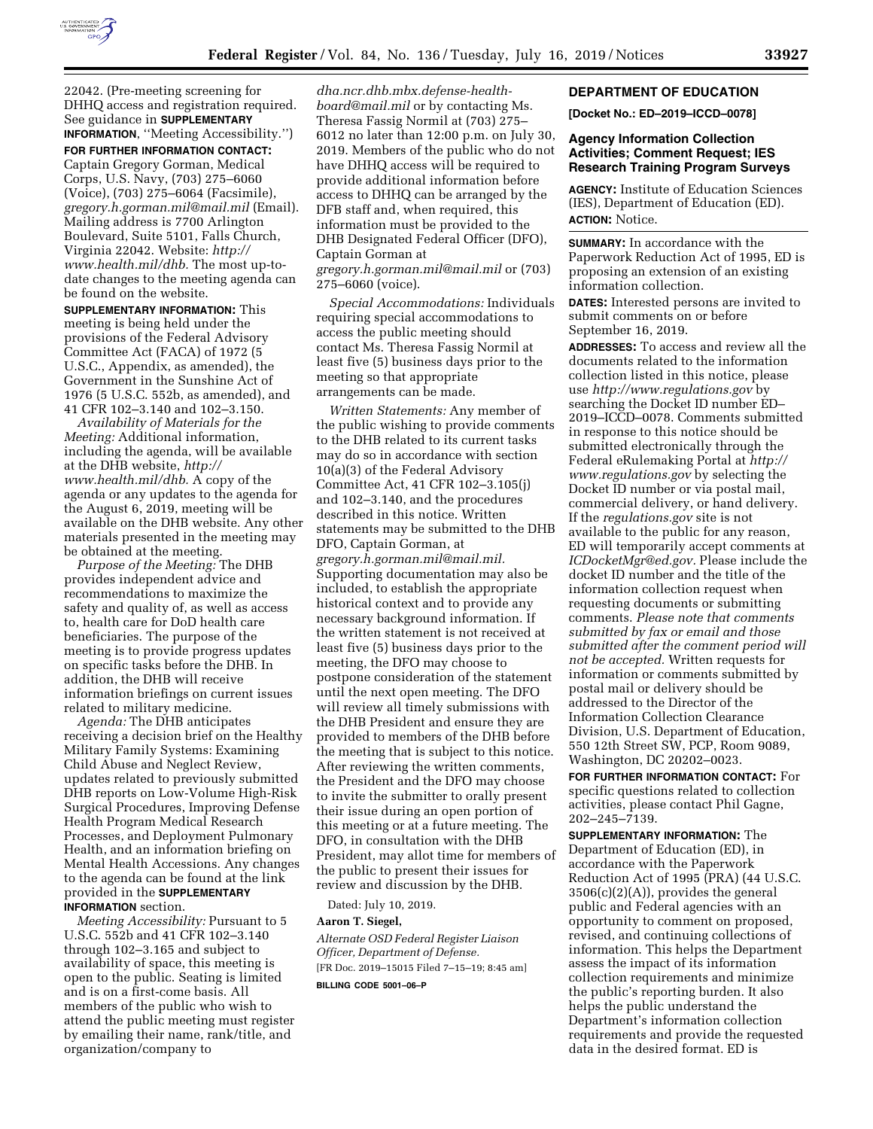

22042. (Pre-meeting screening for DHHQ access and registration required. See guidance in **SUPPLEMENTARY INFORMATION**, ''Meeting Accessibility.'')

**FOR FURTHER INFORMATION CONTACT:**  Captain Gregory Gorman, Medical Corps, U.S. Navy, (703) 275–6060 (Voice), (703) 275–6064 (Facsimile), *[gregory.h.gorman.mil@mail.mil](mailto:gregory.h.gorman.mil@mail.mil)* (Email). Mailing address is 7700 Arlington Boulevard, Suite 5101, Falls Church, Virginia 22042. Website: *[http://](http://www.health.mil/dhb) [www.health.mil/dhb.](http://www.health.mil/dhb)* The most up-todate changes to the meeting agenda can be found on the website.

**SUPPLEMENTARY INFORMATION:** This meeting is being held under the provisions of the Federal Advisory Committee Act (FACA) of 1972 (5 U.S.C., Appendix, as amended), the Government in the Sunshine Act of 1976 (5 U.S.C. 552b, as amended), and 41 CFR 102–3.140 and 102–3.150.

*Availability of Materials for the Meeting:* Additional information, including the agenda, will be available at the DHB website, *[http://](http://www.health.mil/dhb) [www.health.mil/dhb.](http://www.health.mil/dhb)* A copy of the agenda or any updates to the agenda for the August 6, 2019, meeting will be available on the DHB website. Any other materials presented in the meeting may be obtained at the meeting.

*Purpose of the Meeting:* The DHB provides independent advice and recommendations to maximize the safety and quality of, as well as access to, health care for DoD health care beneficiaries. The purpose of the meeting is to provide progress updates on specific tasks before the DHB. In addition, the DHB will receive information briefings on current issues related to military medicine.

*Agenda:* The DHB anticipates receiving a decision brief on the Healthy Military Family Systems: Examining Child Abuse and Neglect Review, updates related to previously submitted DHB reports on Low-Volume High-Risk Surgical Procedures, Improving Defense Health Program Medical Research Processes, and Deployment Pulmonary Health, and an information briefing on Mental Health Accessions. Any changes to the agenda can be found at the link provided in the **SUPPLEMENTARY INFORMATION** section.

*Meeting Accessibility:* Pursuant to 5 U.S.C. 552b and 41 CFR 102–3.140 through 102–3.165 and subject to availability of space, this meeting is open to the public. Seating is limited and is on a first-come basis. All members of the public who wish to attend the public meeting must register by emailing their name, rank/title, and organization/company to

*[dha.ncr.dhb.mbx.defense-health](mailto:dha.ncr.dhb.mbx.defense-health-board@mail.mil)[board@mail.mil](mailto:dha.ncr.dhb.mbx.defense-health-board@mail.mil)* or by contacting Ms. Theresa Fassig Normil at (703) 275– 6012 no later than 12:00 p.m. on July 30, 2019. Members of the public who do not have DHHQ access will be required to provide additional information before access to DHHQ can be arranged by the DFB staff and, when required, this information must be provided to the DHB Designated Federal Officer (DFO), Captain Gorman at *[gregory.h.gorman.mil@mail.mil](mailto:gregory.h.gorman.mil@mail.mil)* or (703) 275–6060 (voice).

*Special Accommodations:* Individuals requiring special accommodations to access the public meeting should contact Ms. Theresa Fassig Normil at least five (5) business days prior to the meeting so that appropriate arrangements can be made.

*Written Statements:* Any member of the public wishing to provide comments to the DHB related to its current tasks may do so in accordance with section 10(a)(3) of the Federal Advisory Committee Act, 41 CFR 102–3.105(j) and 102–3.140, and the procedures described in this notice. Written statements may be submitted to the DHB DFO, Captain Gorman, at *[gregory.h.gorman.mil@mail.mil.](mailto:gregory.h.gorman.mil@mail.mil)*  Supporting documentation may also be included, to establish the appropriate historical context and to provide any necessary background information. If the written statement is not received at least five (5) business days prior to the meeting, the DFO may choose to postpone consideration of the statement until the next open meeting. The DFO will review all timely submissions with the DHB President and ensure they are provided to members of the DHB before the meeting that is subject to this notice. After reviewing the written comments, the President and the DFO may choose to invite the submitter to orally present their issue during an open portion of this meeting or at a future meeting. The DFO, in consultation with the DHB President, may allot time for members of the public to present their issues for review and discussion by the DHB.

Dated: July 10, 2019.

#### **Aaron T. Siegel,**

*Alternate OSD Federal Register Liaison Officer, Department of Defense.*  [FR Doc. 2019–15015 Filed 7–15–19; 8:45 am]

**BILLING CODE 5001–06–P** 

#### **DEPARTMENT OF EDUCATION**

**[Docket No.: ED–2019–ICCD–0078]** 

## **Agency Information Collection Activities; Comment Request; IES Research Training Program Surveys**

**AGENCY:** Institute of Education Sciences (IES), Department of Education (ED). **ACTION:** Notice.

**SUMMARY:** In accordance with the Paperwork Reduction Act of 1995, ED is proposing an extension of an existing information collection.

**DATES:** Interested persons are invited to submit comments on or before September 16, 2019.

**ADDRESSES:** To access and review all the documents related to the information collection listed in this notice, please use *<http://www.regulations.gov>*by searching the Docket ID number ED– 2019–ICCD–0078. Comments submitted in response to this notice should be submitted electronically through the Federal eRulemaking Portal at *[http://](http://www.regulations.gov) [www.regulations.gov](http://www.regulations.gov)* by selecting the Docket ID number or via postal mail, commercial delivery, or hand delivery. If the *regulations.gov* site is not available to the public for any reason, ED will temporarily accept comments at *[ICDocketMgr@ed.gov.](mailto:ICDocketMgr@ed.gov)* Please include the docket ID number and the title of the information collection request when requesting documents or submitting comments. *Please note that comments submitted by fax or email and those submitted after the comment period will not be accepted.* Written requests for information or comments submitted by postal mail or delivery should be addressed to the Director of the Information Collection Clearance Division, U.S. Department of Education, 550 12th Street SW, PCP, Room 9089, Washington, DC 20202–0023.

**FOR FURTHER INFORMATION CONTACT:** For specific questions related to collection activities, please contact Phil Gagne, 202–245–7139.

**SUPPLEMENTARY INFORMATION:** The Department of Education (ED), in accordance with the Paperwork Reduction Act of 1995 (PRA) (44 U.S.C. 3506(c)(2)(A)), provides the general public and Federal agencies with an opportunity to comment on proposed, revised, and continuing collections of information. This helps the Department assess the impact of its information collection requirements and minimize the public's reporting burden. It also helps the public understand the Department's information collection requirements and provide the requested data in the desired format. ED is